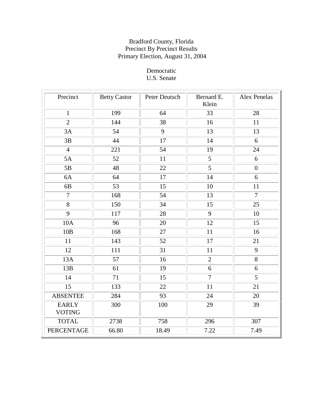# Democratic U.S. Senate

| Precinct                      | <b>Betty Castor</b> | Peter Deutsch | Bernard E.<br>Klein | Alex Penelas   |
|-------------------------------|---------------------|---------------|---------------------|----------------|
| $\mathbf{1}$                  | 199                 | 64            | 33                  | 28             |
| $\overline{2}$                | 144                 | 38            | 16                  | 11             |
| 3A                            | 54                  | 9             | 13                  | 13             |
| 3B                            | 44                  | 17            | 14                  | 6              |
| $\overline{4}$                | 221                 | 54            | 19                  | 24             |
| 5A                            | 52                  | 11            | $5\overline{)}$     | 6              |
| 5B                            | 48                  | 22            | $\overline{5}$      | $\overline{0}$ |
| 6A                            | 64                  | 17            | 14                  | 6              |
| 6B                            | 53                  | 15            | 10                  | 11             |
| $\overline{7}$                | 168                 | 54            | 13                  | $\overline{7}$ |
| $\overline{8}$                | 150                 | 34            | 15                  | 25             |
| $\overline{9}$                | 117                 | 28            | $\overline{9}$      | 10             |
| 10A                           | 96                  | 20            | 12                  | 15             |
| 10B                           | 168                 | 27            | 11                  | 16             |
| 11                            | 143                 | 52            | 17                  | 21             |
| 12                            | 111                 | 31            | 11                  | 9              |
| 13A                           | 57                  | 16            | $\overline{2}$      | 8              |
| 13B                           | 61                  | 19            | 6                   | 6              |
| 14                            | 71                  | 15            | $\overline{7}$      | $\overline{5}$ |
| $\overline{15}$               | 133                 | 22            | 11                  | 21             |
| <b>ABSENTEE</b>               | 284                 | 93            | 24                  | 20             |
| <b>EARLY</b><br><b>VOTING</b> | 300                 | 100           | 29                  | 39             |
| <b>TOTAL</b>                  | 2738                | 758           | 296                 | 307            |
| <b>PERCENTAGE</b>             | 66.80               | 18.49         | 7.22                | 7.49           |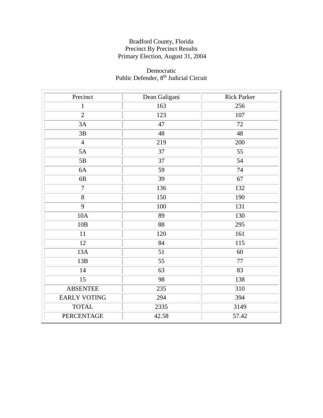#### Democratic Public Defender, 8<sup>th</sup> Judicial Circuit

| Precinct            | Dean Galigani | <b>Rick Parker</b> |
|---------------------|---------------|--------------------|
| $\mathbf{1}$        | 163           | 256                |
| $\overline{2}$      | 123           | 107                |
| 3A                  | 47            | 72                 |
| 3B                  | 48            | 48                 |
| $\overline{4}$      | 219           | 200                |
| 5A                  | 37            | 55                 |
| 5B                  | 37            | 54                 |
| 6A                  | 59            | 74                 |
| 6B                  | 39            | 67                 |
| $\overline{7}$      | 136           | 132                |
| $\overline{8}$      | 150           | 190                |
| $\overline{9}$      | 100           | 131                |
| 10A                 | 89            | 130                |
| 10B                 | 88            | 295                |
| 11                  | 120           | 161                |
| 12                  | 84            | 115                |
| 13A                 | 51            | 60                 |
| 13B                 | 55            | 77                 |
| 14                  | 63            | 83                 |
| 15                  | 98            | 138                |
| <b>ABSENTEE</b>     | 235           | 310                |
| <b>EARLY VOTING</b> | 294           | 394                |
| <b>TOTAL</b>        | 2335          | 3149               |
| PERCENTAGE          | 42.58         | 57.42              |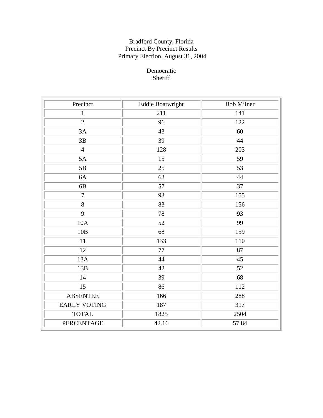# Democratic Sheriff

| Precinct            | <b>Eddie Boatwright</b> | <b>Bob Milner</b> |
|---------------------|-------------------------|-------------------|
| $\mathbf{1}$        | 211                     | 141               |
| $\overline{2}$      | 96                      | 122               |
| 3A                  | 43                      | 60                |
| $3\mathrm{B}$       | 39                      | 44                |
| $\overline{4}$      | 128                     | 203               |
| 5A                  | 15                      | 59                |
| 5B                  | 25                      | 53                |
| 6A                  | 63                      | 44                |
| 6B                  | 57                      | 37                |
| $\overline{7}$      | 93                      | 155               |
| 8                   | 83                      | 156               |
| $\overline{9}$      | 78                      | 93                |
| 10A                 | 52                      | 99                |
| 10B                 | 68                      | 159               |
| 11                  | 133                     | 110               |
| 12                  | 77                      | 87                |
| 13A                 | 44                      | 45                |
| 13B                 | 42                      | 52                |
| 14                  | 39                      | 68                |
| 15                  | 86                      | 112               |
| <b>ABSENTEE</b>     | 166                     | 288               |
| <b>EARLY VOTING</b> | 187                     | 317               |
| <b>TOTAL</b>        | 1825                    | 2504              |
| <b>PERCENTAGE</b>   | 42.16                   | 57.84             |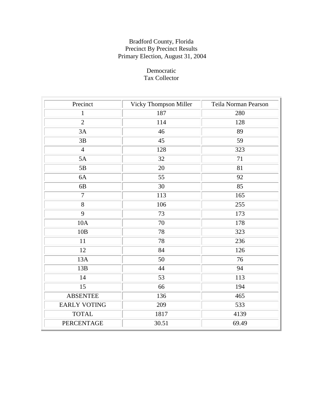# Democratic Tax Collector

| Precinct            | Vicky Thompson Miller | Teila Norman Pearson |
|---------------------|-----------------------|----------------------|
| $\mathbf{1}$        | 187                   | 280                  |
| $\overline{2}$      | 114                   | 128                  |
| 3A                  | 46                    | 89                   |
| 3B                  | 45                    | 59                   |
| $\overline{4}$      | 128                   | 323                  |
| 5A                  | 32                    | 71                   |
| 5B                  | 20                    | 81                   |
| 6A                  | 55                    | 92                   |
| 6 <sub>B</sub>      | 30                    | 85                   |
| $\overline{7}$      | 113                   | 165                  |
| 8                   | 106                   | 255                  |
| $\overline{9}$      | 73                    | 173                  |
| 10A                 | 70                    | 178                  |
| 10B                 | 78                    | 323                  |
| 11                  | 78                    | 236                  |
| 12                  | 84                    | 126                  |
| 13A                 | 50                    | 76                   |
| 13B                 | 44                    | 94                   |
| 14                  | 53                    | 113                  |
| 15                  | 66                    | 194                  |
| <b>ABSENTEE</b>     | 136                   | 465                  |
| <b>EARLY VOTING</b> | 209                   | 533                  |
| <b>TOTAL</b>        | 1817                  | 4139                 |
| PERCENTAGE          | 30.51                 | 69.49                |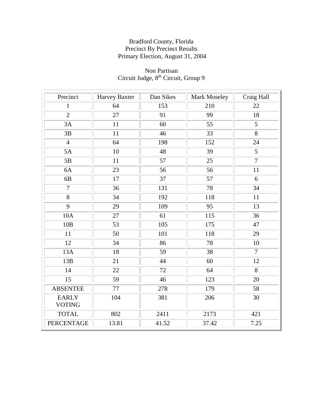### Non Partisan Circuit Judge, 8<sup>th</sup> Circuit, Group 9

| Precinct          | <b>Harvey Baxter</b> | Dan Sikes       | Mark Moseley | Craig Hall     |
|-------------------|----------------------|-----------------|--------------|----------------|
| $\mathbf{1}$      | 64                   | 153             | 210          | 22             |
| $\overline{2}$    | 27                   | 91              | 99           | 18             |
| 3A                | 11                   | 60              | 55           | 5              |
| 3B                | 11                   | 46              | 33           | $\overline{8}$ |
| $\overline{4}$    | 64                   | 198             | 152          | 24             |
| 5A                | $10\,$               | 48              | 39           | 5              |
| 5B                | 11                   | 57              | 25           | $\overline{7}$ |
| 6A                | 23                   | 56              | 56           | 11             |
| 6B                | 17                   | 37              | 57           | 6              |
| $\overline{7}$    | 36                   | 131             | 78           | 34             |
| 8                 | 34                   | 192             | 118          | 11             |
| $\overline{9}$    | 29                   | 109             | 95           | 13             |
| 10A               | 27                   | 61              | 115          | 36             |
| 10B               | 53                   | 105             | 175          | 47             |
| 11                | 50                   | 101             | 118          | 29             |
| 12                | 34                   | 86              | 78           | 10             |
| 13A               | 18                   | $\overline{59}$ | 38           | $\overline{7}$ |
| 13B               | 21                   | 44              | 60           | 12             |
| 14                | 22                   | 72              | 64           | 8              |
| 15                | 59                   | 46              | 123          | 20             |
| <b>ABSENTEE</b>   | 77                   | 278             | 179          | 58             |
| <b>EARLY</b>      | 104                  | 381             | 206          | 30             |
| <b>VOTING</b>     |                      |                 |              |                |
| <b>TOTAL</b>      | 802                  | 2411            | 2173         | 421            |
| <b>PERCENTAGE</b> | 13.81                | 41.52           | 37.42        | 7.25           |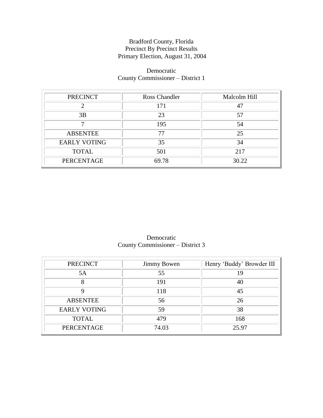# Democratic County Commissioner – District 1

| <b>PRECINCT</b>     | Ross Chandler | Malcolm Hill |
|---------------------|---------------|--------------|
|                     | 171           |              |
| 3B                  | 23            | 57           |
|                     | 195           | 54           |
| <b>ABSENTEE</b>     | 77            | 25           |
| <b>EARLY VOTING</b> | 35            | 34           |
| <b>TOTAL</b>        | 501           | 217          |
| PERCENTAGE          | 69.78         | 30.22        |

Democratic County Commissioner – District 3

| <b>PRECINCT</b>     | <b>Jimmy Bowen</b> | Henry 'Buddy' Browder III |
|---------------------|--------------------|---------------------------|
| 5A                  | 55                 | 19                        |
| 8                   | 191                | 40                        |
|                     | 118                | 45                        |
| <b>ABSENTEE</b>     | 56                 | 26                        |
| <b>EARLY VOTING</b> | 59                 | 38                        |
| <b>TOTAL</b>        | 479                | 168                       |
| PERCENTAGE          | 74.03              | 25.97                     |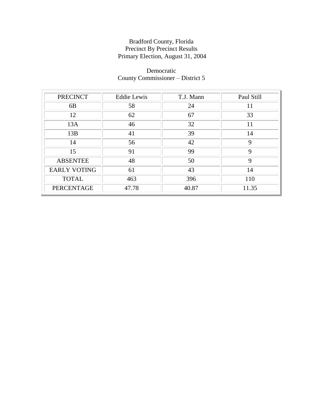# Democratic County Commissioner – District 5

| <b>PRECINCT</b>     | <b>Eddie Lewis</b> | T.J. Mann | Paul Still |
|---------------------|--------------------|-----------|------------|
| 6 <sub>B</sub>      | 58                 | 24        | 11         |
| 12                  | 62                 | 67        | 33         |
| 13A                 | 46                 | 32        | 11         |
| 13B                 | 41                 | 39        | 14         |
| 14                  | 56                 | 42        | 9          |
| 15                  | 91                 | 99        | 9          |
| <b>ABSENTEE</b>     | 48                 | 50        | 9          |
| <b>EARLY VOTING</b> | 61                 | 43        | 14         |
| <b>TOTAL</b>        | 463                | 396       | 110        |
| <b>PERCENTAGE</b>   | 47.78              | 40.87     | 11.35      |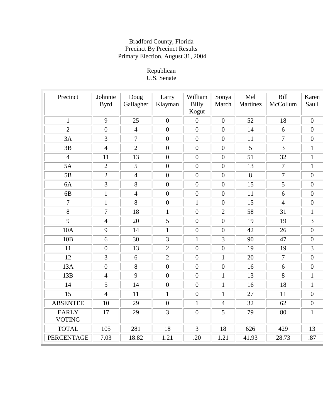#### Republican U.S. Senate

| Precinct                      | Johnnie<br><b>Byrd</b> | Doug<br>Gallagher | Larry<br>Klayman | William<br><b>Billy</b><br>Kogut | Sonya<br>March   | Mel<br>Martinez | <b>Bill</b><br>McCollum | Karen<br>Saull   |
|-------------------------------|------------------------|-------------------|------------------|----------------------------------|------------------|-----------------|-------------------------|------------------|
| $\mathbf{1}$                  | 9                      | 25                | $\mathbf{0}$     | $\overline{0}$                   | $\boldsymbol{0}$ | 52              | 18                      | $\boldsymbol{0}$ |
| $\overline{2}$                | $\boldsymbol{0}$       | $\overline{4}$    | $\boldsymbol{0}$ | $\boldsymbol{0}$                 | $\boldsymbol{0}$ | 14              | 6                       | $\boldsymbol{0}$ |
| 3A                            | 3                      | $\overline{7}$    | $\overline{0}$   | $\overline{0}$                   | $\overline{0}$   | 11              | $\overline{7}$          | $\boldsymbol{0}$ |
| 3B                            | $\overline{4}$         | $\overline{2}$    | $\overline{0}$   | $\overline{0}$                   | $\overline{0}$   | $\overline{5}$  | $\overline{3}$          | $\mathbf{1}$     |
| $\overline{4}$                | 11                     | 13                | $\mathbf{0}$     | $\overline{0}$                   | $\boldsymbol{0}$ | 51              | 32                      | $\mathbf{1}$     |
| 5A                            | $\overline{2}$         | 5                 | $\mathbf{0}$     | $\overline{0}$                   | $\boldsymbol{0}$ | 13              | $\overline{7}$          | $\mathbf{1}$     |
| 5B                            | $\overline{2}$         | $\overline{4}$    | $\overline{0}$   | $\overline{0}$                   | $\overline{0}$   | $\overline{8}$  | $\overline{7}$          | $\overline{0}$   |
| 6A                            | 3                      | 8                 | $\overline{0}$   | $\boldsymbol{0}$                 | $\boldsymbol{0}$ | 15              | 5                       | $\boldsymbol{0}$ |
| 6 <sub>B</sub>                | $\mathbf{1}$           | $\overline{4}$    | $\boldsymbol{0}$ | $\overline{0}$                   | $\boldsymbol{0}$ | 11              | 6                       | $\boldsymbol{0}$ |
| $\overline{7}$                | $\mathbf{1}$           | 8                 | $\boldsymbol{0}$ | $\mathbf{1}$                     | $\boldsymbol{0}$ | 15              | $\overline{4}$          | $\boldsymbol{0}$ |
| 8                             | $\overline{7}$         | 18                | $\mathbf{1}$     | $\overline{0}$                   | $\overline{2}$   | 58              | 31                      | $\mathbf{1}$     |
| 9                             | $\overline{4}$         | 20                | 5                | $\boldsymbol{0}$                 | $\boldsymbol{0}$ | 19              | 19                      | 3                |
| <b>10A</b>                    | 9                      | 14                | $\mathbf{1}$     | $\boldsymbol{0}$                 | $\boldsymbol{0}$ | 42              | 26                      | $\boldsymbol{0}$ |
| 10B                           | 6                      | 30                | $\overline{3}$   | $\mathbf{1}$                     | 3                | 90              | 47                      | $\boldsymbol{0}$ |
| 11                            | $\overline{0}$         | 13                | $\overline{2}$   | $\overline{0}$                   | $\boldsymbol{0}$ | 19              | 19                      | 3                |
| 12                            | 3                      | 6                 | $\overline{2}$   | $\overline{0}$                   | $\mathbf{1}$     | 20              | $\overline{7}$          | $\overline{0}$   |
| 13A                           | $\boldsymbol{0}$       | 8                 | $\mathbf{0}$     | $\overline{0}$                   | $\overline{0}$   | 16              | 6                       | $\boldsymbol{0}$ |
| 13B                           | $\overline{4}$         | 9                 | $\overline{0}$   | $\boldsymbol{0}$                 | $\mathbf{1}$     | 13              | 8                       | $\mathbf{1}$     |
| 14                            | 5                      | 14                | $\boldsymbol{0}$ | $\boldsymbol{0}$                 | $\mathbf{1}$     | 16              | 18                      | $\mathbf{1}$     |
| 15                            | $\overline{4}$         | 11                | $\mathbf{1}$     | $\boldsymbol{0}$                 | $\mathbf{1}$     | 27              | 11                      | $\boldsymbol{0}$ |
| <b>ABSENTEE</b>               | 10                     | 29                | $\mathbf{0}$     | $\mathbf{1}$                     | $\overline{4}$   | 32              | 62                      | $\boldsymbol{0}$ |
| <b>EARLY</b><br><b>VOTING</b> | 17                     | 29                | $\overline{3}$   | $\boldsymbol{0}$                 | 5                | 79              | 80                      | $\mathbf{1}$     |
| <b>TOTAL</b>                  | 105                    | 281               | 18               | $\overline{3}$                   | 18               | 626             | 429                     | 13               |
| PERCENTAGE                    | 7.03                   | 18.82             | 1.21             | .20                              | 1.21             | 41.93           | 28.73                   | .87              |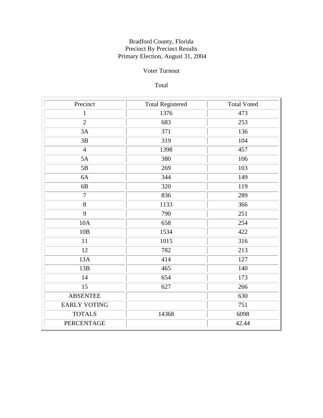# Voter Turnout

# Total

| Precinct            | <b>Total Registered</b> | <b>Total Voted</b> |
|---------------------|-------------------------|--------------------|
| $\mathbf{1}$        | 1376                    | 473                |
| $\overline{2}$      | 683                     | 253                |
| 3A                  | 371                     | 136                |
| 3B                  | 319                     | 104                |
| $\overline{4}$      | 1398                    | 457                |
| 5A                  | 380                     | 106                |
| 5B                  | 269                     | 103                |
| 6A                  | 344                     | 149                |
| 6B                  | 320                     | 119                |
| $\overline{7}$      | 836                     | 289                |
| 8                   | 1133                    | 366                |
| 9                   | 790                     | 251                |
| 10A                 | 658                     | 254                |
| 10B                 | 1534                    | 422                |
| 11                  | 1015                    | 316                |
| 12                  | 782                     | 213                |
| 13A                 | 414                     | 127                |
| 13B                 | 465                     | 140                |
| 14                  | 654                     | 173                |
| 15                  | 627                     | 266                |
| <b>ABSENTEE</b>     |                         | 630                |
| <b>EARLY VOTING</b> |                         | 751                |
| <b>TOTALS</b>       | 14368                   | 6098               |
| <b>PERCENTAGE</b>   |                         | 42.44              |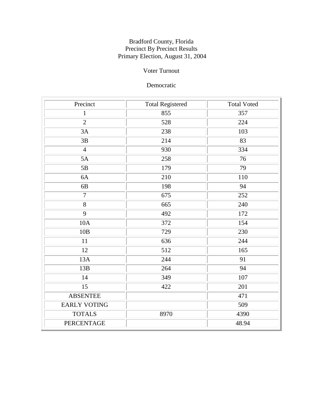# Voter Turnout

# Democratic

| Precinct            | <b>Total Registered</b> | <b>Total Voted</b> |
|---------------------|-------------------------|--------------------|
| $\mathbf{1}$        | 855                     | 357                |
| $\overline{2}$      | 528                     | 224                |
| 3A                  | 238                     | 103                |
| 3B                  | 214                     | 83                 |
| $\overline{4}$      | 930                     | 334                |
| 5A                  | 258                     | 76                 |
| 5B                  | 179                     | 79                 |
| 6A                  | 210                     | 110                |
| 6B                  | 198                     | 94                 |
| $\overline{7}$      | 675                     | 252                |
| 8                   | 665                     | 240                |
| 9                   | 492                     | 172                |
| 10A                 | 372                     | 154                |
| 10B                 | 729                     | 230                |
| 11                  | 636                     | 244                |
| 12                  | 512                     | 165                |
| 13A                 | 244                     | 91                 |
| 13B                 | 264                     | 94                 |
| 14                  | 349                     | 107                |
| 15                  | 422                     | 201                |
| <b>ABSENTEE</b>     |                         | 471                |
| <b>EARLY VOTING</b> |                         | 509                |
| <b>TOTALS</b>       | 8970                    | 4390               |
| PERCENTAGE          |                         | 48.94              |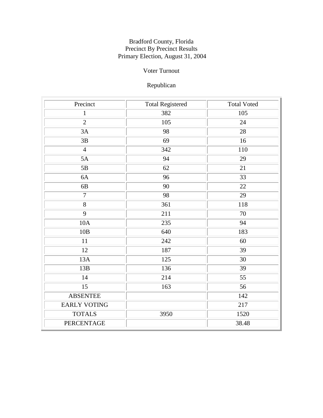# Voter Turnout

# Republican

| Precinct            | <b>Total Registered</b> | <b>Total Voted</b> |
|---------------------|-------------------------|--------------------|
| $\mathbf{1}$        | 382                     | 105                |
| $\overline{2}$      | 105                     | 24                 |
| 3A                  | 98                      | 28                 |
| 3B                  | 69                      | 16                 |
| $\overline{4}$      | 342                     | 110                |
| 5A                  | 94                      | 29                 |
| 5B                  | 62                      | 21                 |
| 6A                  | 96                      | 33                 |
| 6B                  | 90                      | 22                 |
| $\overline{7}$      | 98                      | 29                 |
| 8                   | 361                     | 118                |
| 9                   | 211                     | $70\,$             |
| 10A                 | 235                     | 94                 |
| 10B                 | 640                     | 183                |
| 11                  | 242                     | 60                 |
| 12                  | 187                     | 39                 |
| 13A                 | 125                     | 30                 |
| 13B                 | 136                     | 39                 |
| 14                  | 214                     | 55                 |
| 15                  | 163                     | 56                 |
| <b>ABSENTEE</b>     |                         | 142                |
| <b>EARLY VOTING</b> |                         | 217                |
| <b>TOTALS</b>       | 3950                    | 1520               |
| PERCENTAGE          |                         | 38.48              |